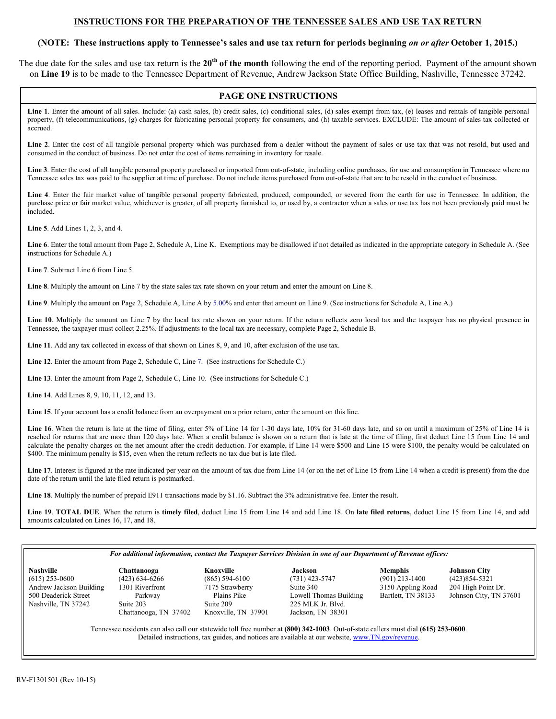## **INSTRUCTIONS FOR THE PREPARATION OF THE TENNESSEE SALES AND USE TAX RETURN**

# **(NOTE: These instructions apply to Tennessee's sales and use tax return for periods beginning** *on or after* **October 1, 2015.)**

The due date for the sales and use tax return is the **20th of the month** following the end of the reporting period. Payment of the amount shown on **Line 19** is to be made to the Tennessee Department of Revenue, Andrew Jackson State Office Building, Nashville, Tennessee 37242.

# **PAGE ONE INSTRUCTIONS**

Line 1. Enter the amount of all sales. Include: (a) cash sales, (b) credit sales, (c) conditional sales, (d) sales exempt from tax, (e) leases and rentals of tangible personal property, (f) telecommunications, (g) charges for fabricating personal property for consumers, and (h) taxable services. EXCLUDE: The amount of sales tax collected or accrued.

Line 2. Enter the cost of all tangible personal property which was purchased from a dealer without the payment of sales or use tax that was not resold, but used and consumed in the conduct of business. Do not enter the cost of items remaining in inventory for resale.

**Line 3**. Enter the cost of all tangible personal property purchased or imported from out-of-state, including online purchases, for use and consumption in Tennessee where no Tennessee sales tax was paid to the supplier at time of purchase. Do not include items purchased from out-of-state that are to be resold in the conduct of business.

**Line 4**. Enter the fair market value of tangible personal property fabricated, produced, compounded, or severed from the earth for use in Tennessee. In addition, the purchase price or fair market value, whichever is greater, of all property furnished to, or used by, a contractor when a sales or use tax has not been previously paid must be included.

**Line 5**. Add Lines 1, 2, 3, and 4.

**Line 6**. Enter the total amount from Page 2, Schedule A, Line K. Exemptions may be disallowed if not detailed as indicated in the appropriate category in Schedule A. (See instructions for Schedule A.)

**Line 7**. Subtract Line 6 from Line 5.

**Line 8**. Multiply the amount on Line 7 by the state sales tax rate shown on your return and enter the amount on Line 8.

**Line 9**. Multiply the amount on Page 2, Schedule A, Line A by 5.00% and enter that amount on Line 9. (See instructions for Schedule A, Line A.)

Line 10. Multiply the amount on Line 7 by the local tax rate shown on your return. If the return reflects zero local tax and the taxpayer has no physical presence in Tennessee, the taxpayer must collect 2.25%. If adjustments to the local tax are necessary, complete Page 2, Schedule B.

**Line 11**. Add any tax collected in excess of that shown on Lines 8, 9, and 10, after exclusion of the use tax.

**Line 12**. Enter the amount from Page 2, Schedule C, Line 7. (See instructions for Schedule C.)

**Line 13**. Enter the amount from Page 2, Schedule C, Line 10. (See instructions for Schedule C.)

**Line 14**. Add Lines 8, 9, 10, 11, 12, and 13.

**Line 15**. If your account has a credit balance from an overpayment on a prior return, enter the amount on this line.

Line 16. When the return is late at the time of filing, enter 5% of Line 14 for 1-30 days late, 10% for 31-60 days late, and so on until a maximum of 25% of Line 14 is reached for returns that are more than 120 days late. When a credit balance is shown on a return that is late at the time of filing, first deduct Line 15 from Line 14 and calculate the penalty charges on the net amount after the credit deduction. For example, if Line 14 were \$500 and Line 15 were \$100, the penalty would be calculated on \$400. The minimum penalty is \$15, even when the return reflects no tax due but is late filed.

Line 17. Interest is figured at the rate indicated per year on the amount of tax due from Line 14 (or on the net of Line 15 from Line 14 when a credit is present) from the due date of the return until the late filed return is postmarked.

Line 18. Multiply the number of prepaid E911 transactions made by \$1.16. Subtract the 3% administrative fee. Enter the result.

**Line 19**. **TOTAL DUE**. When the return is **timely filed**, deduct Line 15 from Line 14 and add Line 18. On **late filed returns**, deduct Line 15 from Line 14, and add amounts calculated on Lines 16, 17, and 18.

#### *For additional information, contact the Taxpayer Services Division in one of our Department of Revenue offices:*

| <b>Nashville</b>        | Chattanooga                | Knoxville                       | Jackson                | <b>Memphis</b>     | <b>Johnson City</b> |
|-------------------------|----------------------------|---------------------------------|------------------------|--------------------|---------------------|
| $(615)$ 253-0600        | $(423)$ 634-6266           | $(865)$ 594-6100                | $(731)$ 423-5747       | $(901)$ 213-1400   | (423) 854-5321      |
| Andrew Jackson Building | 1301 Riverfront            | 7175 Strawberry                 | Suite 340              | 3150 Appling Road  | 204 High Poin       |
| 500 Deaderick Street    | Parkway                    | Plains Pike                     | Lowell Thomas Building | Bartlett, TN 38133 | Johnson City,       |
| Nashville. TN 37242     | Suite 203                  | Suite 209                       | 225 MLK Jr. Blyd.      |                    |                     |
|                         | TNT 27402<br>$\sim$ $\sim$ | $T^{\prime\prime}$ 1.7001<br>11 | T <sub>1</sub> 2021    |                    |                     |

(423) 634-6266 (865) 594-6100 (731) 423-5747 (901) 213-1400 (423) 854-5321<br>1301 Riverfront 7175 Strawberry Suite 340 3150 Appling Road 204 High Point Dr. Andrew Tableson Building 13150 Appling Road<br>Parkway Plains Pike 1340 Davell Thomas Building Bartlett, TN 38133 Suite 203 Suite 209 225 MLK Jr. Blvd.<br>Chattanooga, TN 37402 Knoxville, TN 37901 Jackson, TN 38301 Chattanooga, TN 37402

Johnson City, TN 37601

Tennessee residents can also call our statewide toll free number at **(800) 342-1003**. Out-of-state callers must dial **(615) 253-0600**. Detailed instructions, tax guides, and notices are available at our website, www.TN.gov/revenue.